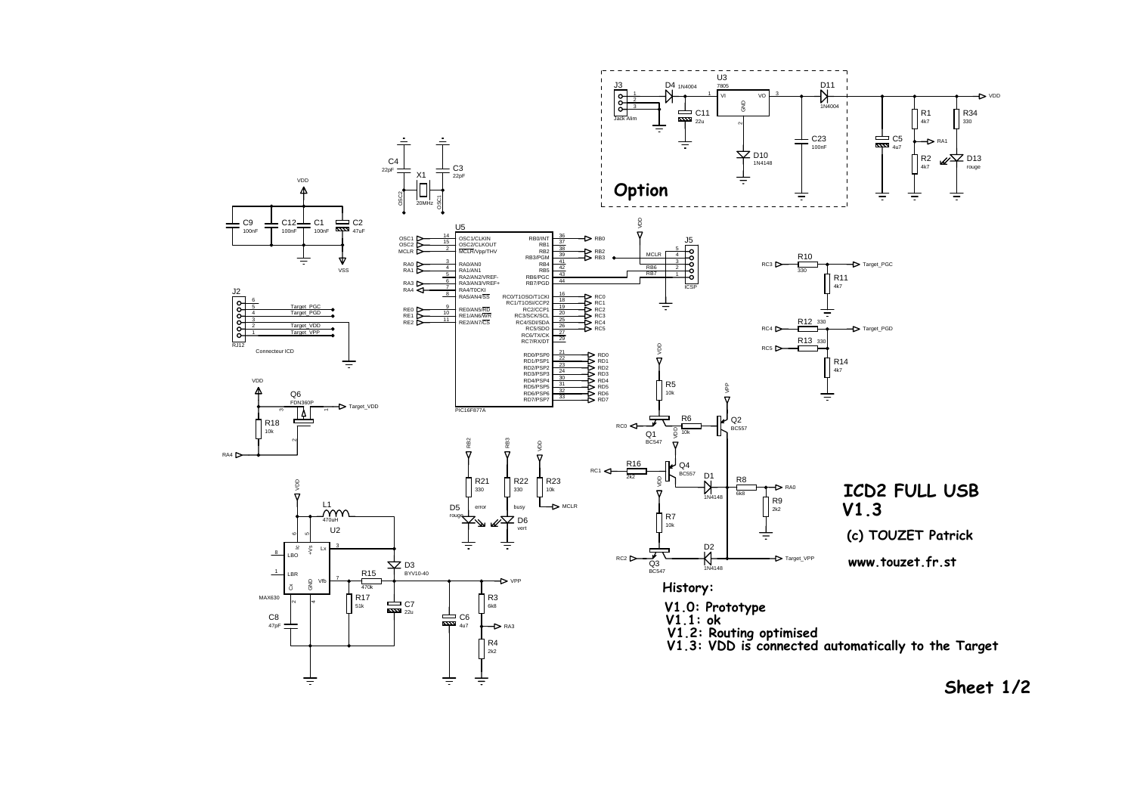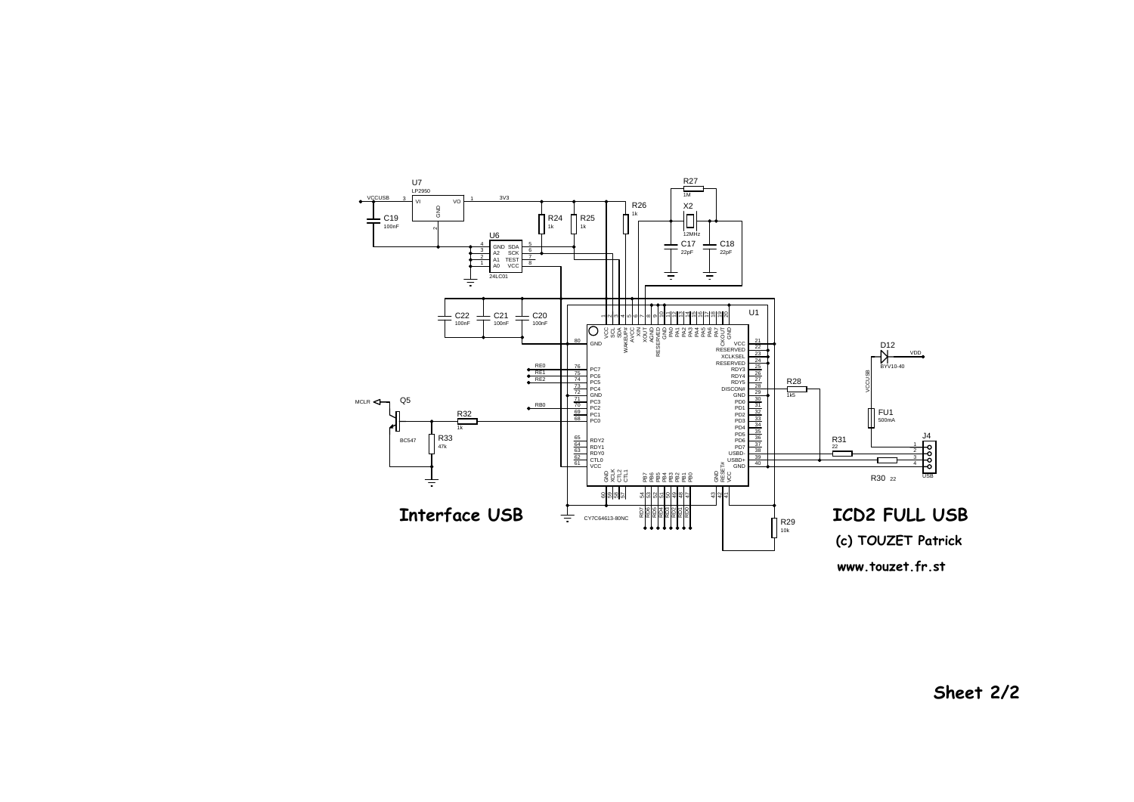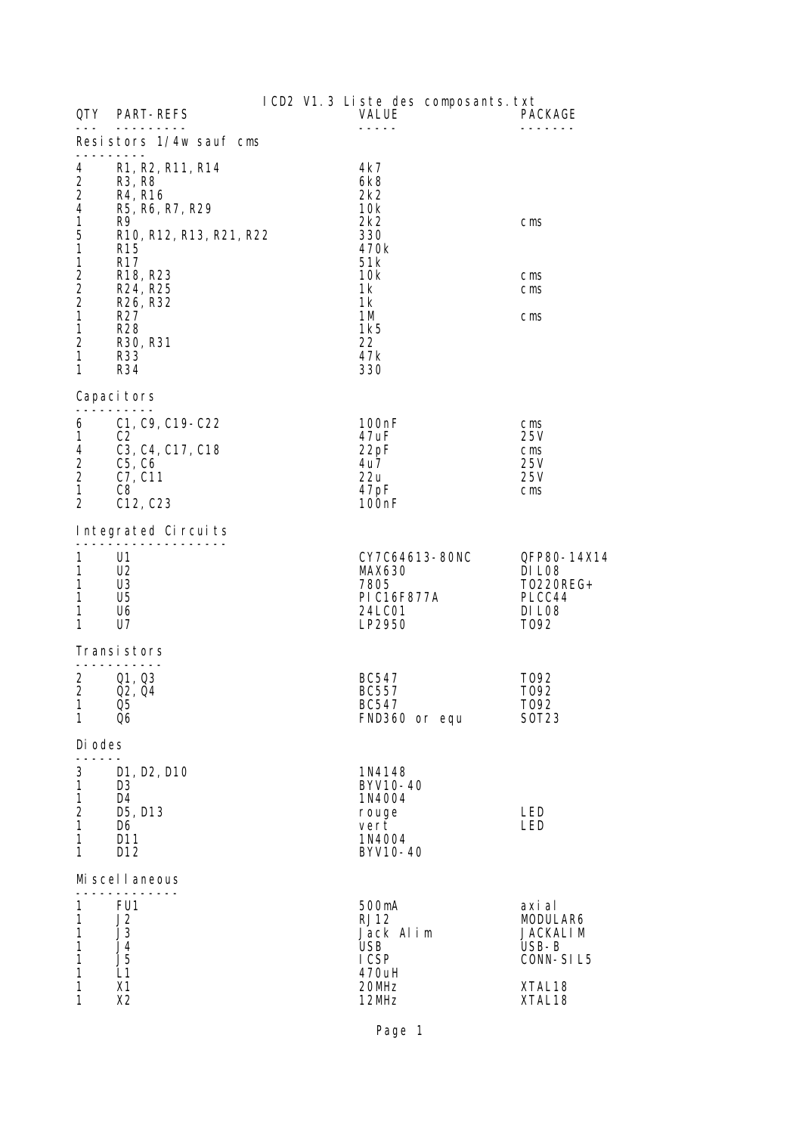| QTY O                                                                                 | <b>PART-REFS</b>                                                                                                                                                                         |  | ICD2 V1.3 Liste des composants. txt<br>VALUE                                    | PACKAGE                                                                                            |
|---------------------------------------------------------------------------------------|------------------------------------------------------------------------------------------------------------------------------------------------------------------------------------------|--|---------------------------------------------------------------------------------|----------------------------------------------------------------------------------------------------|
| Resistors 1/4w sauf cms                                                               |                                                                                                                                                                                          |  |                                                                                 |                                                                                                    |
| 4<br>$\overline{c}$<br>$\overline{c}$<br>4<br>$\mathbf 1$<br>5<br>$\overline{1}$      | R <sub>1</sub> , R <sub>2</sub> , R <sub>11</sub> , R <sub>14</sub><br>R <sub>3</sub> , R <sub>8</sub><br>R4, R16<br>R5, R6, R7, R29<br>R9<br>R10, R12, R13, R21, R22<br>R <sub>15</sub> |  | 4k7<br>6k8<br>2k2<br>10k<br>2k2<br>330<br>470k                                  | $\mathsf{cm}\mathsf{s}$                                                                            |
| 1<br>$\overline{\mathbf{c}}$<br>$\overline{c}$<br>$\overline{c}$<br>$\mathbf{1}$<br>1 | R <sub>17</sub><br>R18, R23<br>R24, R25<br>R26, R32<br>R <sub>27</sub><br><b>R28</b>                                                                                                     |  | 51k<br>10k<br>1k<br>1k<br>1M<br>1k5                                             | $\mathsf{cm}\mathsf{s}$<br>$\mathsf{cm}\mathsf{s}$<br>$\mathsf{cm}\mathsf{s}$                      |
| $\boldsymbol{2}$<br>$\mathbf{1}$<br>1                                                 | R <sub>30</sub> , R <sub>31</sub><br>R33<br>R34                                                                                                                                          |  | 22<br>47 <sub>k</sub><br>330                                                    |                                                                                                    |
| Capaci tors                                                                           |                                                                                                                                                                                          |  |                                                                                 |                                                                                                    |
| 6<br>$\mathbf{1}$<br>4<br>$\frac{2}{2}$<br>$\mathbf{1}$<br>$\overline{2}$             | C1, C9, C19-C22<br>C <sub>2</sub><br>C3, C4, C17, C18<br>C5, C6<br>C7, C11<br>C <sub>8</sub><br>C <sub>12</sub> , C <sub>23</sub>                                                        |  | 100 <sub>n</sub> F<br>47uF<br>22pF<br>4u7.<br>22u<br>47pF<br>100 <sub>n</sub> F | $\mathsf{cm}\mathsf{s}$<br>25V<br>$\mathsf{cm}\mathsf{s}$<br>25V<br>25V<br>$\mathsf{cm}\mathsf{s}$ |
| Integrated Circuits                                                                   |                                                                                                                                                                                          |  |                                                                                 |                                                                                                    |
| 1<br>1<br>1<br>$\mathbf{1}$<br>1<br>1                                                 | U1<br>U <sub>2</sub><br>U3<br>U <sub>5</sub><br>U6<br>U7                                                                                                                                 |  | CY7C64613-80NC<br><b>MAX630</b><br>7805<br>PI C16F877A<br>24LC01<br>LP2950      | QFP80-14X14<br>DI LO8<br>T0220REG+<br>PLCC44<br>DI LO8<br>T092                                     |
| Transi stors<br>---------                                                             |                                                                                                                                                                                          |  |                                                                                 |                                                                                                    |
| 2<br>$\overline{2}$<br>$\mathbf{1}$<br>1                                              | Q1, Q3<br>Q <sub>2</sub> , Q <sub>4</sub><br>Q5<br>Q6                                                                                                                                    |  | BC547<br><b>BC557</b><br><b>BC547</b><br>FND360 or equ                          | T <sub>092</sub><br>T092<br>T092<br>S0T23                                                          |
| Di odes                                                                               |                                                                                                                                                                                          |  |                                                                                 |                                                                                                    |
| 3<br>1<br>$\mathbf{1}$<br>$\overline{c}$<br>1<br>1<br>1                               | D1, D2, D10<br>D3<br>D4<br>D5, D13<br>D6<br>D11<br>D <sub>12</sub>                                                                                                                       |  | 1N4148<br>BYV10-40<br>1N4004<br>rouge<br>vert<br>1N4004<br>BYV10-40             | LED<br>LED                                                                                         |
| Mi scel I aneous                                                                      |                                                                                                                                                                                          |  |                                                                                 |                                                                                                    |
| 1<br>1<br>1<br>1<br>1<br>1                                                            | FU1<br>J2<br>J3<br>J4<br>J <sub>5</sub><br>L1                                                                                                                                            |  | 500mA<br><b>RJ12</b><br>Jack Alim<br><b>USB</b><br>I CSP<br>470uH               | axi al<br>MODULAR6<br><b>JACKALIM</b><br>USB-B<br>CONN-SIL5                                        |
| 1<br>1                                                                                | X1<br>X2                                                                                                                                                                                 |  | 20MHz<br>12MHz                                                                  | XTAL18<br>XTAL18                                                                                   |

Page 1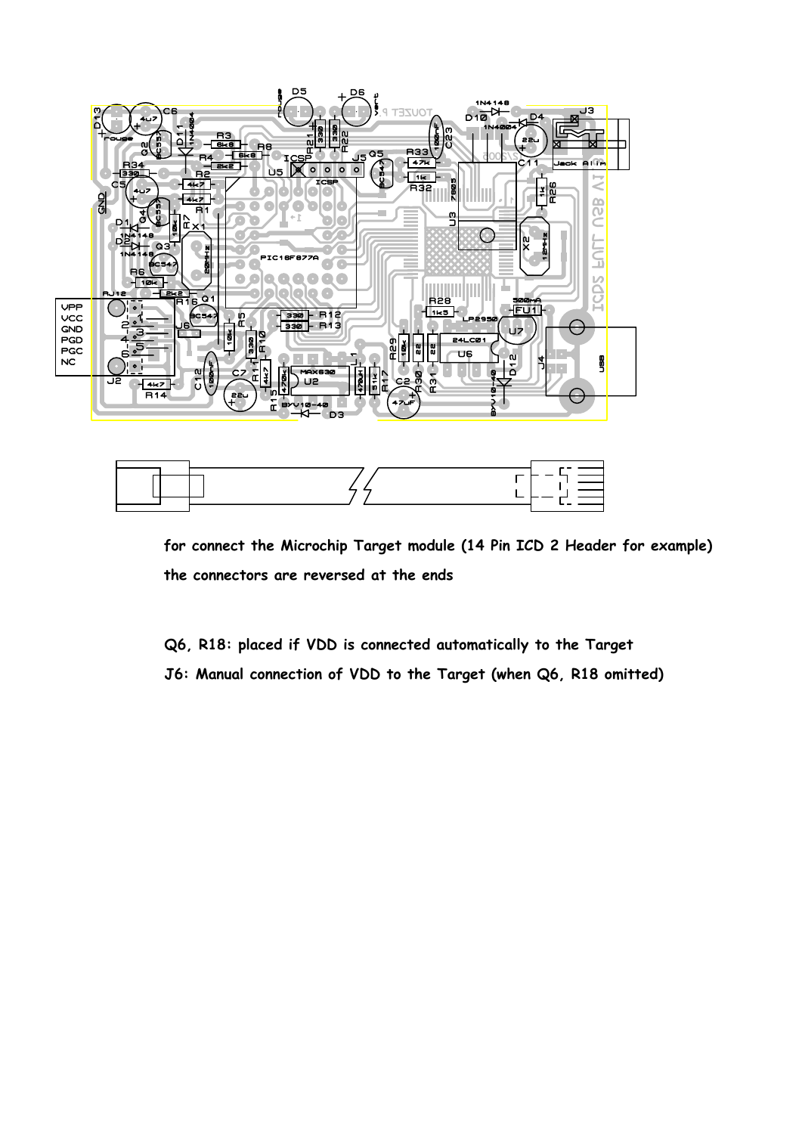



**the connectors are reversed at the ends for connect the Microchip Target module (14 Pin ICD 2 Header for example)**

**Q6, R18: placed if VDD is connected automatically to the Target**

**J6: Manual connection of VDD to the Target (when Q6, R18 omitted)**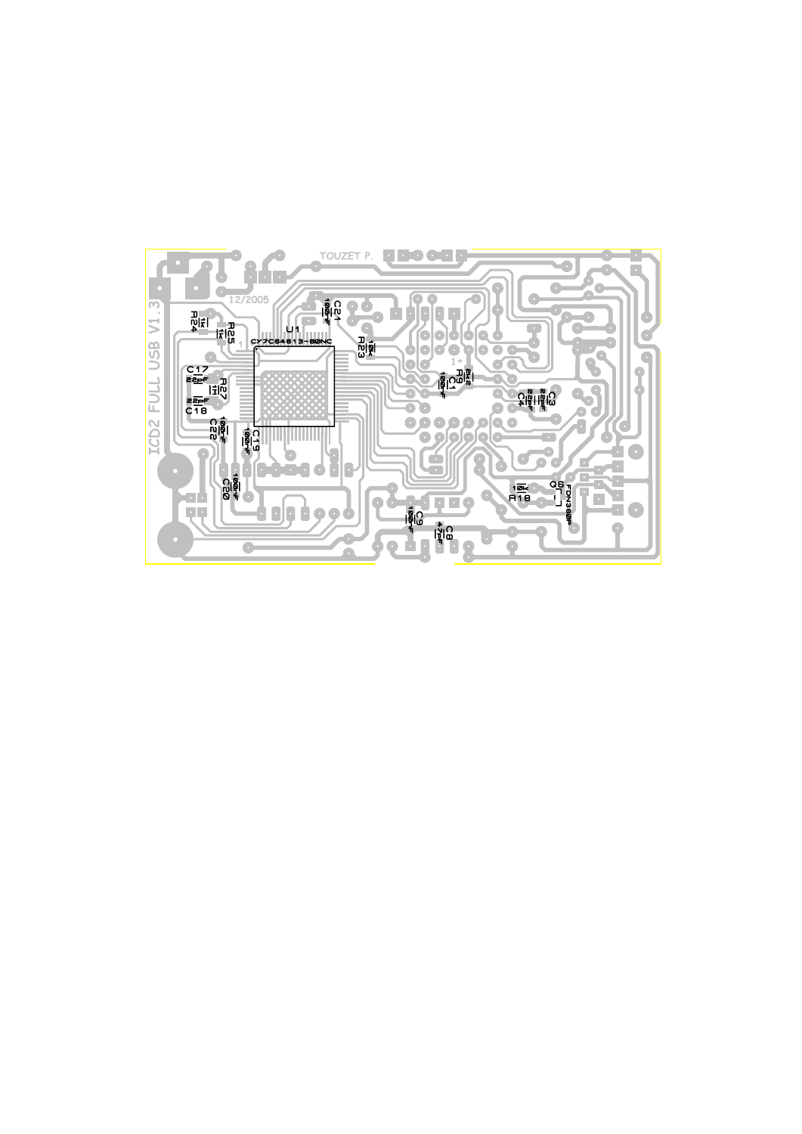